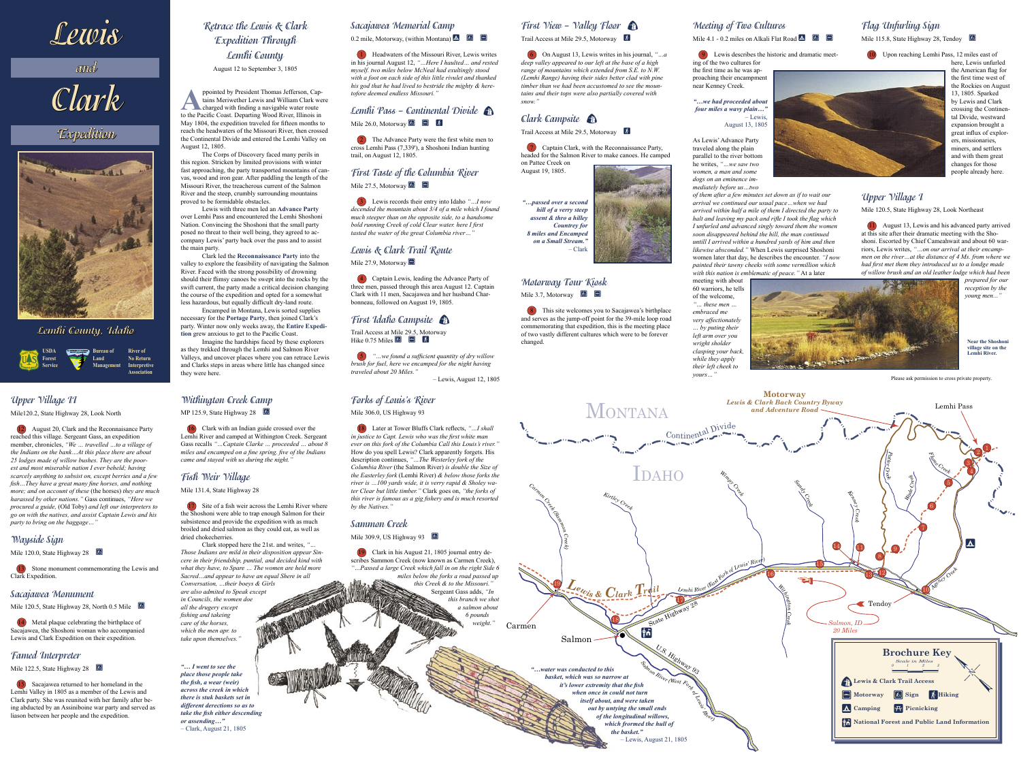**Lewis**

**and**

# **Clark**

# **Expedition**



#### **Lemhi County, Idaho**

# **Retrace the Lewis & Clark Expedition Through Lemhi County**

August 12 to September 3, 1805

ppointed by President Thomas Jefferson, Captains Meriwether Lewis and William Clark we<br>charged with finding a navigable water route<br>to the Pacific Coast Departing Wood River Illinois in tains Meriwether Lewis and William Clark were charged with finding a navigable water route to the Pacific Coast. Departing Wood River, Illinois in May 1804, the expedition traveled for fifteen months to reach the headwaters of the Missouri River, then crossed the Continental Divide and entered the Lemhi Valley on August 12, 1805.

The Corps of Discovery faced many perils in this region. Stricken by limited provisions with winter fast approaching, the party transported mountains of canvas, wood and iron gear. After paddling the length of the Missouri River, the treacherous current of the Salmon River and the steep, crumbly surrounding mountains proved to be formidable obstacles.

Lewis with three men led an **Advance Party** over Lemhi Pass and encountered the Lemhi Shoshoni Nation. Convincing the Shoshoni that the small party posed no threat to their well being, they agreed to accompany Lewis' party back over the pass and to assist the main party.

#### **First Taste of the Columbia River**  Mile 27.5, Motorway  $\mathbb{R}$

Clark led the **Reconnaissance Party** into the valley to explore the feasibility of navigating the Salmon River. Faced with the strong possibility of drowning should their flimsy canoes be swept into the rocks by the swift current, the party made a critical decision changing the course of the expedition and opted for a somewhat less hazardous, but equally difficult dry-land route.

Encamped in Montana, Lewis sorted supplies necessary for the **Portage Party**, then joined Clark's party. Winter now only weeks away, the **Entire Expedition** grew anxious to get to the Pacific Coast.

Imagine the hardships faced by these explorers as they trekked through the Lemhi and Salmon River Valleys, and uncover places where you can retrace Lewis and Clarks steps in areas where little has changed since they were here.

#### **Sacajawea Memorial Camp**

0.2 mile, Motorway, (within Montana)  $\Delta$  **M**  $\Box$ 

#### **Motorway Tour Kiosk** Mile 3.7, Motorway  $\Box$

 1 Headwaters of the Missouri River, Lewis writes in his journal August 12, *"…Here I haulted… and rested myself. two miles below McNeal had exultingly stood with a foot on each side of this little rivulet and thanked his god that he had lived to bestride the mighty & heretofore deemed endless Missouri."*

#### **Lemhi Pass – Continental Divide** Mile 26.0, Motorway W R w

 2 The Advance Party were the first white men to cross Lemhi Pass (7,339'), a Shoshoni Indian hunting trail, on August 12, 1805.

 3 Lewis records their entry into Idaho *"…I now decended the mountain about 3/4 of a mile which I found much steeper than on the opposite side, to a handsome bold running Creek of cold Clear water. here I first tasted the water of the great Columbia river…"*

**Flag Unfurling Sign** Mile 115.8, State Highway 28, Tendoy

#### **Lewis & Clark Trail Route**

Mile 27.9, Motorway

 4 Captain Lewis, leading the Advance Party of three men, passed through this area August 12. Captain Clark with 11 men, Sacajawea and her husband Charbonneau, followed on August 19, 1805.

#### **First Idaho Campsite**

Trail Access at Mile 29.5, Motorway Hike 0.75 Miles  $\begin{array}{cc} \hline \hline \hline \hline \hline \end{array}$   $\begin{array}{cc} \hline \hline \hline \hline \hline \end{array}$ 

 5 *"…we found a sufficient quantity of dry willow brush for fuel, here we encamped for the night having traveled about 20 Miles."*

– Lewis, August 12, 1805

**First View – Valley Floor** 

Trail Access at Mile 29.5, Motorway  $\left[\frac{1}{k}\right]$ 

 6 On August 13, Lewis writes in his journal, *"…a deep valley appeared to our left at the base of a high range of mountains which extended from S.E. to N.W. (Lemhi Range) having their sides better clad with pine timber than we had been accustomed to see the mountains and their tops were also partially covered with snow."*

#### **Clark Campsite**

Trail Access at Mile 29.5, Motorway  $\&$ 

 7 Captain Clark, with the Reconnaissance Party, headed for the Salmon River to make canoes. He camped on Pattee Creek on

August 19, 1805.



*"…passed over a second hill of a verry steep assent & thro a hilley Countrey for 8 miles and Encamped on a Small Stream."*

– Clark

 8 This site welcomes you to Sacajawea's birthplace and serves as the jump-off point for the 39-mile loop road commemorating that expedition, this is the meeting place of two vastly different cultures which were to be forever changed.

#### **Meeting of Two Cultures**

#### Mile 4.1 - 0.2 miles on Alkali Flat Road  $\triangle$   $\Box$

9 Lewis describes the historic and dramatic meet-

ing of the two cultures for the first time as he was approaching their encampment near Kenney Creek.

*"…we had proceeded about four miles a wavy plain…"* – Lewis, August 13, 1805

As Lewis' Advance Party traveled along the plain parallel to the river bottom he writes, *"…we saw two women, a man and some dogs on an eminence immediately before us…two* 

*this Creek & to the Missouri."*  Sergeant Gass adds, *"In this branch we shot a salmon about 6 pounds*   $weight.$ 

*of them after a few minutes set down as if to wait our arrival we continued our usual pace…when we had arrived within half a mile of them I directed the party to halt and leaving my pack and rifle I took the flag which I unfurled and advanced singly toward them the women soon disappeared behind the hill, the man continued untill I arrived within a hundred yards of him and then likewise absconded."* When Lewis surprised Shoshoni women later that day, he describes the encounter. *"I now painted their tawny cheeks with some vermillion which with this nation is emblematic of peace."* At a later

meeting with about 60 warriors, he tells of the welcome, *"… these men … embraced me very affectionately … by puting their left arm over you wright sholder clasping your back, while they apply their left cheek to yours…"* 



10 Upon reaching Lemhi Pass, 12 miles east of

here, Lewis unfurled the American flag for the first time west of the Rockies on August 13, 1805. Sparked by Lewis and Clark crossing the Continental Divide, westward expansion brought a great influx of explorers, missionaries, miners, and settlers and with them great changes for those people already here.

#### **Upper Village I**

Mile 120.5, State Highway 28, Look Northeast

 11 August 13, Lewis and his advanced party arrived at this site after their dramatic meeting with the Shoshoni. Escorted by Chief Cameahwait and about 60 warriors, Lewis writes, *"…on our arrival at their encampmen on the river…at the distance of 4 Ms. from where we had first met them they introduced us to a londge made of willow brush and an old leather lodge which had been* 

> *prepared for our reception by the young men..."*

#### **Upper Village II**

Mile120.2, State Highway 28, Look North

 12 August 20, Clark and the Reconnaisance Party reached this village. Sergeant Gass, an expedition member, chronicles, *"We … travelled …to a village of the Indians on the bank…At this place there are about 25 lodges made of willow bushes. They are the poorest and most miserable nation I ever beheld; having scarcely anything to subsist on, except berries and a few fish…They have a great many fine horses, and nothing more; and on account of these* (the horses) *they are much harassed by other nations."* Gass continues, *"Here we procured a guide,* (Old Toby) *and left our interpreters to go on with the natives, and assist Captain Lewis and his party to bring on the baggage…"*

#### **Wayside Sign**

Mile 120.0, State Highway 28

 13 Stone monument commemorating the Lewis and Clark Expedition.

#### **Sacajawea Monument**

Mile 120.5, State Highway 28, North 0.5 Mile

 14 Metal plaque celebrating the birthplace of Sacajawea, the Shoshoni woman who accompanied Lewis and Clark Expedition on their expedition.

#### **Famed Interpreter**

Mile 122.5, State Highway 28

 15 Sacajawea returned to her homeland in the Lemhi Valley in 1805 as a member of the Lewis and Clark party. She was reunited with her family after being abducted by an Assiniboine war party and served as liason between her people and the expedition.

#### **Withington Creek Camp**

MP 125.9, State Highway 28

 16 Clark with an Indian guide crossed over the Lemhi River and camped at Withington Creek. Sergeant Gass recalls *"…Captain Clarke … proceeded … about 8 miles and encamped on a fine spring. five of the Indians came and stayed with us during the night."*

#### **Fish Weir Village**

Mile 131.4, State Highway 28

 17 Site of a fish weir across the Lemhi River where the Shoshoni were able to trap enough Salmon for their subsistence and provide the expedition with as much broiled and dried salmon as they could eat, as well as dried chokecherries.

Clark stopped here the 21st. and writes, *"… Those Indians are mild in their disposition appear Sincere in their friendship, puntial, and decided kind with what they have, to Spare … The women are held more Sacred…and appear to have an equal Shere in all Conversation, …their boeys & Girls are also admited to Speak except in Councils, the women doe all the drugery except fishing and takeing care of the horses, which the men apr. to* 

*take upon themselves."*

#### **Forks of Louis's River**

Mile 306.0, US Highway 93

 18 Later at Tower Bluffs Clark reflects, *"…I shall in justice to Capt. Lewis who was the first white man ever on this fork of the Columbia Call this Louis's river."* How do you spell Lewis? Clark apparently forgets. His description continues, *"…The Westerley fork of the Columbia River* (the Salmon River) *is double the Size of the Easterley fork* (Lemhi River) *& below those forks the river is …100 yards wide, it is verry rapid & Sholey water Clear but little timber."* Clark goes on, *"the forks of this river is famous as a gig fishery and is much resorted by the Natives."*

#### **Sammon Creek**

Mile 309.9, US Highway 93

 19 Clark in his August 21, 1805 journal entry describes Sammon Creek (now known as Carmen Creek), *"…Passed a large Creek which fall in on the right Side 6 miles below the forks a road passed up* 

*"… I went to see the place those people take the fish, a wear (weir) across the creek in which there is stuk baskets set in different derections so as to take the fish either descending or assending…"* – Clark, August 21, 1805

**Near the Shoshoni village site on the Lemhi River.**

Please ask permission to cross private property.



**Bureau of Land Management River of No Return Interpretive Association**